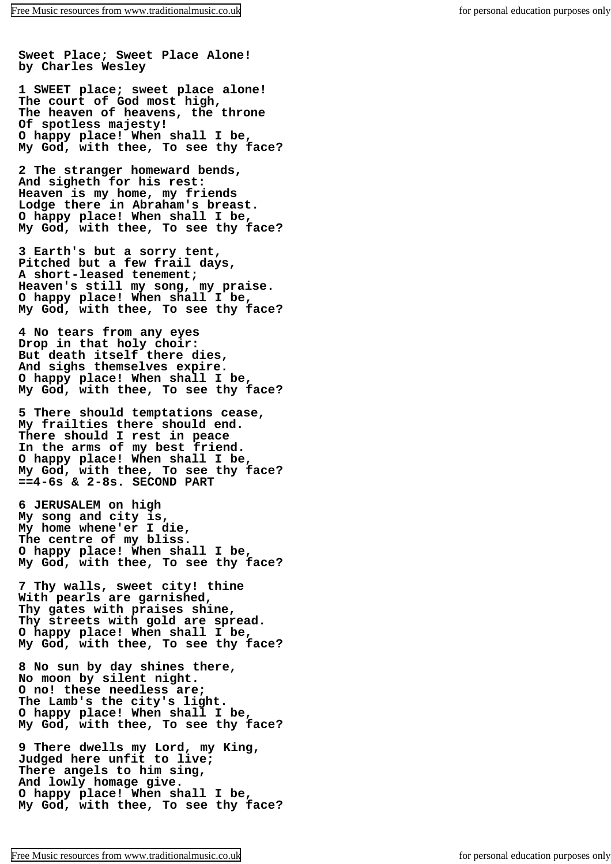**Sweet Place; Sweet Place Alone! by Charles Wesley**

**1 SWEET place; sweet place alone! The court of God most high, The heaven of heavens, the throne Of spotless majesty! O happy place! When shall I be, My God, with thee, To see thy face?**

**2 The stranger homeward bends, And sigheth for his rest: Heaven is my home, my friends Lodge there in Abraham's breast. O happy place! When shall I be, My God, with thee, To see thy face?**

**3 Earth's but a sorry tent, Pitched but a few frail days, A short-leased tenement; Heaven's still my song, my praise. O happy place! When shall I be, My God, with thee, To see thy face?**

**4 No tears from any eyes Drop in that holy choir: But death itself there dies, And sighs themselves expire. O happy place! When shall I be, My God, with thee, To see thy face?**

**5 There should temptations cease, My frailties there should end. There should I rest in peace In the arms of my best friend. O happy place! When shall I be, My God, with thee, To see thy face? ==4-6s & 2-8s. SECOND PART**

**6 JERUSALEM on high My song and city is, My home whene'er I die, The centre of my bliss. O happy place! When shall I be, My God, with thee, To see thy face?**

**7 Thy walls, sweet city! thine With pearls are garnished, Thy gates with praises shine, Thy streets with gold are spread. O happy place! When shall I be, My God, with thee, To see thy face?**

**8 No sun by day shines there, No moon by silent night. O no! these needless are; The Lamb's the city's light. O happy place! When shall I be, My God, with thee, To see thy face?**

**9 There dwells my Lord, my King, Judged here unfit to live; There angels to him sing, And lowly homage give. O happy place! When shall I be, My God, with thee, To see thy face?**